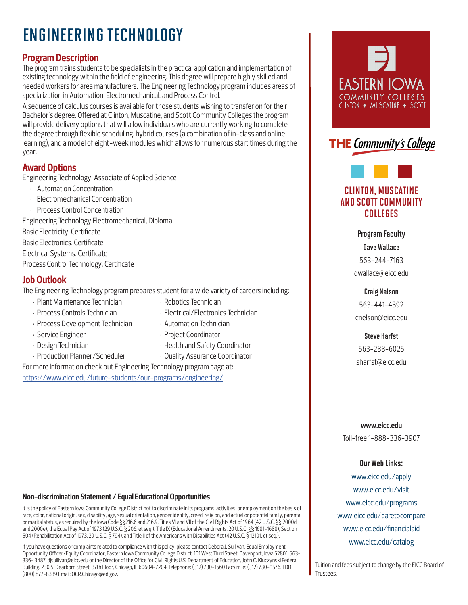# ENGINEERING TECHNOLOGY

# **Program Description**

The program trains students to be specialists in the practical application and implementation of existing technology within the field of engineering. This degree will prepare highly skilled and needed workers for area manufacturers. The Engineering Technology program includes areas of specialization in Automation, Electromechanical, and Process Control.

A sequence of calculus courses is available for those students wishing to transfer on for their Bachelor's degree. Offered at Clinton, Muscatine, and Scott Community Colleges the program will provide delivery options that will allow individuals who are currently working to complete the degree through flexible scheduling, hybrid courses (a combination of in-class and online learning), and a model of eight-week modules which allows for numerous start times during the year.

# **Award Options**

Engineering Technology, Associate of Applied Science

- Automation Concentration
- Electromechanical Concentration
- Process Control Concentration

Engineering Technology Electromechanical, Diploma Basic Electricity, Certificate Basic Electronics, Certificate Electrical Systems, Certificate Process Control Technology, Certificate

# **Job Outlook**

The Engineering Technology program prepares student for a wide variety of careers including:

- Plant Maintenance Technician Robotics Technician
- Process Controls Technician Electrical/Electronics Technician
- Process Development Technician Automation Technician
- Service Engineer Project Coordinator
- Design Technician Thealth and Safety Coordinator
- 
- Production Planner/Scheduler  **Quality Assurance Coordinator** For more information check out Engineering Technology program page at:

https://www.eicc.edu/future-students/our-programs/engineering/.

## **Non-discrimination Statement / Equal Educational Opportunities**

It is the policy of Eastern Iowa Community College District not to discriminate in its programs, activities, or employment on the basis of race, color, national origin, sex, disability, age, sexual orientation, gender identity, creed, religion, and actual or potential family, parental or marital status, as required by the Iowa Code §§216.6 and 216.9, Titles VI and VII of the Civil Rights Act of 1964 (42 U.S.C. §§ 2000d and 2000e), the Equal Pay Act of 1973 (29 U.S.C. § 206, et seq.), Title IX (Educational Amendments, 20 U.S.C. §§ 1681-1688), Section 504 (Rehabilitation Act of 1973, 29 U.S.C. § 794), and Title II of the Americans with Disabilities Act (42 U.S.C. § 12101, et seq.).

If you have questions or complaints related to compliance with this policy, please contact Debora J. Sullivan, Equal Employment Opportunity Officer/Equity Coordinator, Eastern Iowa Community College District, 101 West Third Street, Davenport, Iowa 52801, 563- 336- 3487, djsullivan@eicc.edu or the Director of the Office for Civil Rights U.S. Department of Education, John C. Kluczynski Federal Building, 230 S. Dearborn Street, 37th Floor, Chicago, IL 60604-7204, Telephone: (312) 730-1560 Facsimile: (312) 730- 1576, TDD (800) 877-8339 Email: OCR.Chicago@ed.gov.





# CLINTON, MUSCATINE AND SCOTT COMMUNITY COLLEGES

## Program Faculty

Dave Wallace 563-244-7163 dwallace@eicc.edu

## Craig Nelson

563-441-4392 cnelson@eicc.edu

## Steve Harfst

563-288-6025 sharfst@eicc.edu

## **www.eicc.edu**

Toll-free 1-888-336-3907

## Our Web Links:

www.eicc.edu/apply www.eicc.edu/visit www.eicc.edu/programs www.eicc.edu/daretocompare www.eicc.edu/financialaid www.eicc.edu/catalog

Tuition and fees subject to change by the EICC Board of Trustees.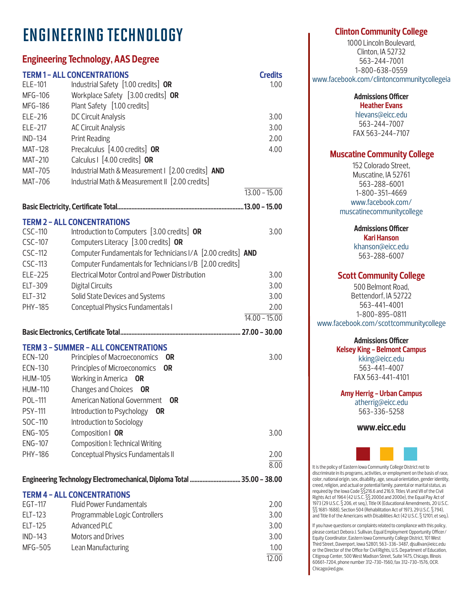# ENGINEERING TECHNOLOGY

# **Engineering Technology, AAS Degree**

|                                                                        | <b>TERM1-ALL CONCENTRATIONS</b>                              | <b>Credits</b>             |  |  |
|------------------------------------------------------------------------|--------------------------------------------------------------|----------------------------|--|--|
| ELE-101<br>MFG-106                                                     | Industrial Safety [1.00 credits] OR                          | 1.00                       |  |  |
|                                                                        | Workplace Safety [3.00 credits] OR                           |                            |  |  |
| MFG-186                                                                | Plant Safety [1.00 credits]                                  |                            |  |  |
| ELE-216                                                                | DC Circuit Analysis                                          | 3.00                       |  |  |
| ELE-217                                                                | <b>AC Circuit Analysis</b>                                   | 3.00                       |  |  |
| <b>IND-134</b>                                                         | <b>Print Reading</b>                                         | 2.00                       |  |  |
| <b>MAT-128</b>                                                         | Precalculus [4.00 credits] OR                                | 4.00                       |  |  |
| MAT-210                                                                | Calculus I [4.00 credits] OR                                 |                            |  |  |
| MAT-705                                                                | Industrial Math & Measurement   [2.00 credits] AND           |                            |  |  |
| MAT-706                                                                | Industrial Math & Measurement II [2.00 credits]              |                            |  |  |
|                                                                        |                                                              | $\overline{13.00} - 15.00$ |  |  |
|                                                                        |                                                              |                            |  |  |
|                                                                        | <b>TERM 2 - ALL CONCENTRATIONS</b>                           |                            |  |  |
| CSC-110                                                                | Introduction to Computers [3.00 credits] OR                  | 3.00                       |  |  |
| CSC-107                                                                | Computers Literacy [3.00 credits] OR                         |                            |  |  |
| CSC-112                                                                | Computer Fundamentals for Technicians I/A [2.00 credits] AND |                            |  |  |
| CSC-113                                                                | Computer Fundamentals for Technicians I/B [2.00 credits]     |                            |  |  |
| ELE-225                                                                | <b>Electrical Motor Control and Power Distribution</b>       | 3.00                       |  |  |
| ELT-309                                                                | <b>Digital Circuits</b>                                      | 3.00                       |  |  |
| ELT-312                                                                | Solid State Devices and Systems                              | 3.00                       |  |  |
| PHY-185                                                                | Conceptual Physics Fundamentals I                            | 2.00                       |  |  |
|                                                                        |                                                              | $14.00 - 15.00$            |  |  |
|                                                                        |                                                              |                            |  |  |
|                                                                        |                                                              |                            |  |  |
| ECN-120                                                                | <b>TERM 3 - SUMMER - ALL CONCENTRATIONS</b>                  | 3.00                       |  |  |
| ECN-130                                                                | Principles of Macroeconomics<br>0R<br><b>OR</b>              |                            |  |  |
| HUM-105                                                                | Principles of Microeconomics<br>Working in America           |                            |  |  |
| <b>HUM-110</b>                                                         | OR<br>Changes and Choices OR                                 |                            |  |  |
| POL-111                                                                | American National Government<br><b>OR</b>                    |                            |  |  |
|                                                                        |                                                              |                            |  |  |
| PSY-111                                                                | Introduction to Psychology<br><b>OR</b>                      |                            |  |  |
| SOC-110                                                                | Introduction to Sociology                                    |                            |  |  |
| <b>ENG-105</b>                                                         | Composition   OR                                             | 3.00                       |  |  |
| <b>ENG-107</b>                                                         | Composition I: Technical Writing                             |                            |  |  |
| PHY-186                                                                | Conceptual Physics Fundamentals II                           | 2.00                       |  |  |
|                                                                        |                                                              | 8.00                       |  |  |
| Engineering Technology Electromechanical, Diploma Total  35.00 - 38.00 |                                                              |                            |  |  |
|                                                                        | <b>TERM 4 - ALL CONCENTRATIONS</b>                           |                            |  |  |
| EGT-117                                                                | Fluid Power Fundamentals                                     | 2.00                       |  |  |
| ELT-123                                                                | Programmable Logic Controllers                               | 3.00                       |  |  |
| ELT-125                                                                | Advanced PLC                                                 | 3.00                       |  |  |
| $IND-143$                                                              | <b>Motors and Drives</b>                                     | 3.00                       |  |  |
| MFG-505                                                                | Lean Manufacturing                                           | 1.00                       |  |  |

## **Clinton Community College**

1000 Lincoln Boulevard, Clinton, IA 52732 563-244-7001 1-800-638-0559 www.facebook.com/clintoncommunitycollegeia

> **Admissions Officer Heather Evans**

hlevans@eicc.edu 563-244-7007 FAX 563-244-7107

# **Muscatine Community College**

152 Colorado Street, Muscatine, IA 52761 563-288-6001 1-800-351-4669 www.facebook.com/ muscatinecommunitycollege

**Admissions Officer**

**Kari Hanson** khanson@eicc.edu 563-288-6007

# **Scott Community College**

500 Belmont Road, Bettendorf, IA 52722 563-441-4001 1-800-895-0811 www.facebook.com/scottcommunitycollege

# **Admissions Officer**

**Kelsey King - Belmont Campus** kking@eicc.edu 563-441-4007 FAX 563-441-4101

**Amy Herrig - Urban Campus**

atherrig@eicc.edu 563-336-5258

**www.eicc.edu**



It is the policy of Eastern Iowa Community College District not to discriminate in its programs, activities, or employment on the basis of race, color, national origin, sex, disability, age, sexual orientation, gender identity, creed, religion, and actual or potential family, parental or marital status, as required by the Iowa Code §§216.6 and 216.9, Titles VI and VII of the Civil Rights Act of 1964 (42 U.S.C. §§ 2000d and 2000e), the Equal Pay Act of 1973 (29 U.S.C. § 206, et seq.), Title IX (Educational Amendments, 20 U.S.C. §§ 1681-1688), Section 504 (Rehabilitation Act of 1973, 29 U.S.C. § 794), and Title II of the Americans with Disabilities Act (42 U.S.C. § 12101, et seq.).

If you have questions or complaints related to compliance with this policy, please contact Debora J. Sullivan, Equal Employment Opportunity Officer/ Equity Coordinator, Eastern Iowa Community College District, 101 West Third Street, Davenport, Iowa 52801, 563-336-3487, djsullivan@eicc.edu or the Director of the Office for Civil Rights, U.S. Department of Education, Citigroup Center, 500 West Madison Street, Suite 1475, Chicago, Illinois 60661-7204, phone number 312-730-1560, fax 312-730-1576, OCR. Chicago@ed.gov.

12.00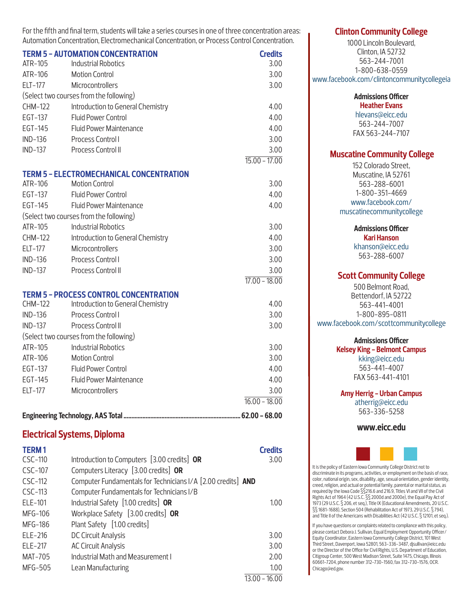|                | <b>TERM 5 - AUTOMATION CONCENTRATION</b>            | <b>Credits</b>             |
|----------------|-----------------------------------------------------|----------------------------|
| ATR-105        | <b>Industrial Robotics</b>                          | 3.00                       |
| ATR-106        | <b>Motion Control</b>                               | 3.00                       |
| ELT-177        | Microcontrollers                                    | 3.00                       |
|                | (Select two courses from the following)             |                            |
| <b>CHM-122</b> | Introduction to General Chemistry                   | 4.00                       |
| EGT-137        | <b>Fluid Power Control</b>                          | 4.00                       |
| EGT-145        | <b>Fluid Power Maintenance</b>                      | 4.00                       |
| IND-136        | Process Control I                                   | 3.00                       |
| $IND-137$      | Process Control II                                  | 3.00                       |
|                |                                                     | $15.00 - 17.00$            |
|                | <b>TERM 5 - ELECTROMECHANICAL CONCENTRATION</b>     |                            |
| ATR-106        | <b>Motion Control</b>                               | 3.00                       |
|                | EGT-137 Fluid Power Control                         | 4.00                       |
| EGT-145        | <b>Fluid Power Maintenance</b>                      | 4.00                       |
|                | (Select two courses from the following)             |                            |
| ATR-105        | <b>Industrial Robotics</b>                          | 3.00                       |
| <b>CHM-122</b> | Introduction to General Chemistry                   | 4.00                       |
| ELT-177        | Microcontrollers                                    | 3.00                       |
| IND-136        | Process Control I                                   | 3.00                       |
| $IND-137$      | Process Control II                                  | 3.00                       |
|                |                                                     | $\overline{17.00 - 18.00}$ |
|                | <b>TERM 5 - PROCESS CONTROL CONCENTRATION</b>       |                            |
| CHM-122        | Introduction to General Chemistry                   | 4.00                       |
| $IND-136$      | Process Control I                                   | 3.00                       |
| <b>IND-137</b> | Process Control II                                  | 3.00                       |
|                | (Select two courses from the following)             |                            |
| ATR-105        | <b>Industrial Robotics</b>                          | 3.00                       |
| ATR-106        | <b>Motion Control</b>                               | 3.00                       |
| EGT-137        | <b>Fluid Power Control</b>                          | 4.00                       |
| EGT-145        | <b>Fluid Power Maintenance</b>                      | 4.00                       |
| ELT-177        | Microcontrollers                                    | 3.00                       |
|                |                                                     | $\overline{16.00 - 18.00}$ |
|                |                                                     |                            |
|                | <b>Electrical Systems, Diploma</b>                  |                            |
| <b>TERM1</b>   |                                                     | <b>Credits</b>             |
|                | CSC-110 Introduction to Computers [3.00 credits] OR | 3.00                       |

For the fifth and final term, students will take a series courses in one of three concentration areas: Automation Concentration, Electromechanical Concentration, or Process Control Concentration.

| CSC-110   | Introduction to Computers [3.00 credits] OR                  |       | 3.00              |
|-----------|--------------------------------------------------------------|-------|-------------------|
| CSC-107   | Computers Literacy [3.00 credits] OR                         |       |                   |
| CSC-112   | Computer Fundamentals for Technicians I/A [2.00 credits] AND |       |                   |
| $CSC-113$ | Computer Fundamentals for Technicians I/B                    |       |                   |
| ELE-101   | Industrial Safety [1.00 credits] OR                          |       | 1.00 <sub>1</sub> |
| MFG-106   | Workplace Safety [3.00 credits] OR                           |       |                   |
| MFG-186   | Plant Safety [1.00 credits]                                  |       |                   |
| ELE-216   | DC Circuit Analysis                                          |       | 3.00              |
| ELE-217   | <b>AC Circuit Analysis</b>                                   |       | 3.00              |
| MAT-705   | Industrial Math and Measurement I                            |       | 2.00              |
| MFG-505   | Lean Manufacturing                                           |       | 1.00 <sub>1</sub> |
|           |                                                              | 12.00 | 10 $\cap$         |

## **Clinton Community College**

1000 Lincoln Boulevard, Clinton, IA 52732 563-244-7001 1-800-638-0559 www.facebook.com/clintoncommunitycollegeia

#### **Admissions Officer Heather Evans**

hlevans@eicc.edu 563-244-7007 FAX 563-244-7107

# **Muscatine Community College**

152 Colorado Street, Muscatine, IA 52761 563-288-6001 1-800-351-4669 www.facebook.com/ muscatinecommunitycollege

## **Admissions Officer**

**Kari Hanson** khanson@eicc.edu 563-288-6007

## **Scott Community College**

500 Belmont Road, Bettendorf, IA 52722 563-441-4001 1-800-895-0811 www.facebook.com/scottcommunitycollege

# **Admissions Officer**

**Kelsey King - Belmont Campus** kking@eicc.edu 563-441-4007 FAX 563-441-4101

## **Amy Herrig - Urban Campus**

atherrig@eicc.edu 563-336-5258

## **www.eicc.edu**



It is the policy of Eastern Iowa Community College District not to discriminate in its programs, activities, or employment on the basis of race, color, national origin, sex, disability, age, sexual orientation, gender identity, creed, religion, and actual or potential family, parental or marital status, as required by the Iowa Code §§216.6 and 216.9, Titles VI and VII of the Civil Rights Act of 1964 (42 U.S.C. §§ 2000d and 2000e), the Equal Pay Act of 1973 (29 U.S.C. § 206, et seq.), Title IX (Educational Amendments, 20 U.S.C. §§ 1681-1688), Section 504 (Rehabilitation Act of 1973, 29 U.S.C. § 794), and Title II of the Americans with Disabilities Act (42 U.S.C. § 12101, et seq.).

If you have questions or complaints related to compliance with this policy, please contact Debora J. Sullivan, Equal Employment Opportunity Officer/ Equity Coordinator, Eastern Iowa Community College District, 101 West Third Street, Davenport, Iowa 52801, 563-336-3487, djsullivan@eicc.edu or the Director of the Office for Civil Rights, U.S. Department of Education, Citigroup Center, 500 West Madison Street, Suite 1475, Chicago, Illinois 60661-7204, phone number 312-730-1560, fax 312-730-1576, OCR. Chicago@ed.gov.

13.00 - 16.00